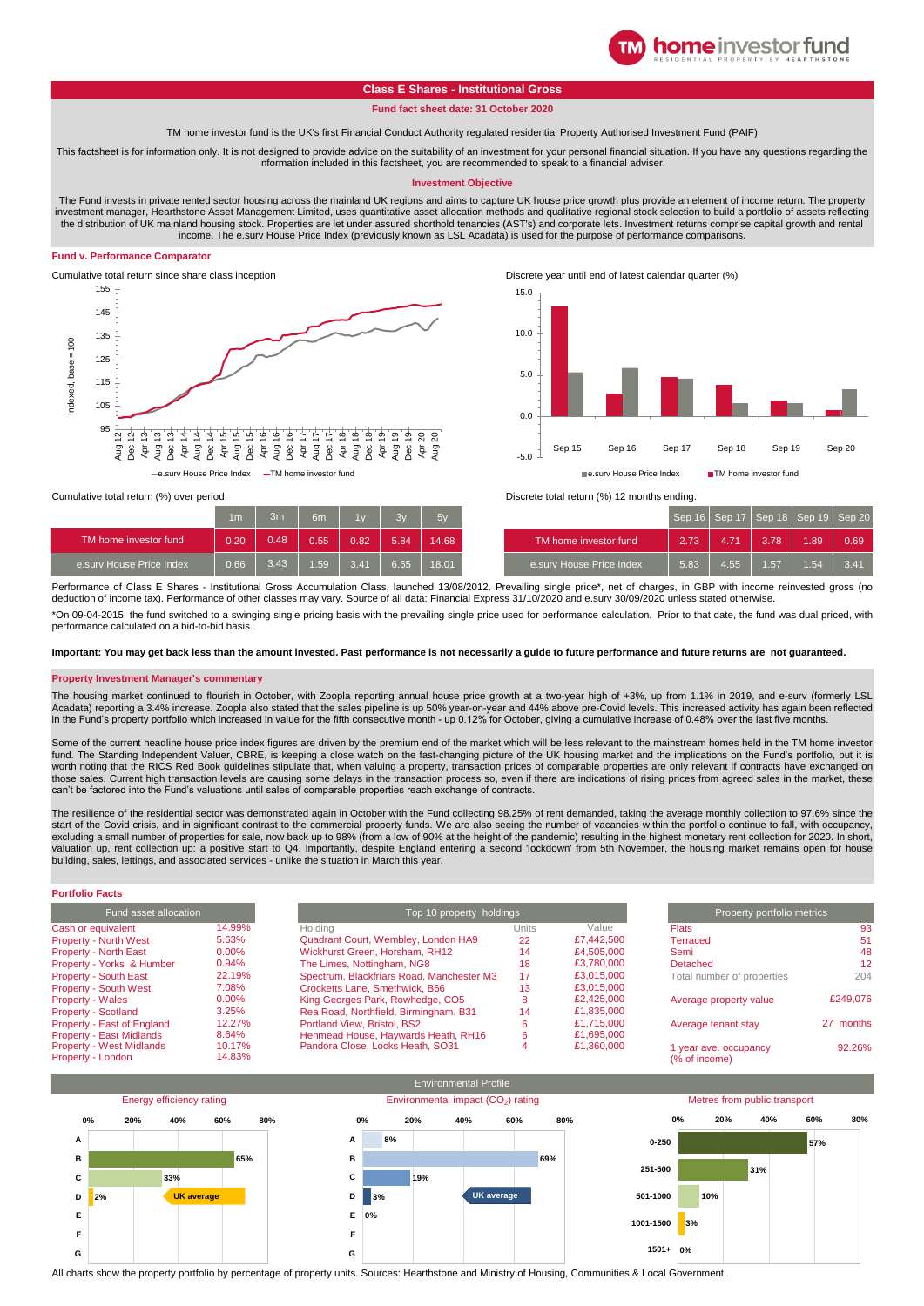

# **Class E Shares - Institutional Gross**

**Fund fact sheet date: 31 October 2020**

TM home investor fund is the UK's first Financial Conduct Authority regulated residential Property Authorised Investment Fund (PAIF)

This factsheet is for information only. It is not designed to provide advice on the suitability of an investment for your personal financial situation. If you have any questions regarding the information included in this factsheet, you are recommended to speak to a financial adviser.

### **Investment Objective**

The Fund invests in private rented sector housing across the mainland UK regions and aims to capture UK house price growth plus provide an element of income return. The property investment manager, Hearthstone Asset Management Limited, uses quantitative asset allocation methods and qualitative regional stock selection to build a portfolio of assets reflecting the distribution of UK mainland housing stock. Properties are let under assured shorthold tenancies (AST's) and corporate lets. Investment returns comprise capital growth and rental income. The e.surv House Price Index (previously known as LSL Acadata) is used for the purpose of performance comparisons.

### **Fund v. Performance Comparator**





|                          | 1 <sub>m</sub> | 3m   | 6 <sub>m</sub> | 1v   | $\mathcal{R}$ | 5v    |                            |
|--------------------------|----------------|------|----------------|------|---------------|-------|----------------------------|
| TM home investor fund    | 0.20           | 0.48 | 0.55           | 0.82 | 5.84          | 14.68 | TM home investor fund      |
| e.sury House Price Index | 0.66           | 3.43 | 1.59.          | 3.41 | 6.65          | 18.01 | ' e.surv House Price Index |



| 1 <sub>m</sub> | 3m   | 6 <sub>m</sub> | 1v   | 3v   | 5v    |                                       |      |      |      | Sep 16   Sep 17   Sep 18   Sep 19   Sep 20 |      |
|----------------|------|----------------|------|------|-------|---------------------------------------|------|------|------|--------------------------------------------|------|
| 0.20           | 0.48 | 0.55           | 0.82 | 5.84 | 14.68 | TM home investor fund                 | 2.73 | 4.71 | 3.78 | 1.89                                       | 0.69 |
| 0.66           | 3.43 | 1.59           | 3.41 | 6.65 | 18.01 | e.sury House Price Index <sup>1</sup> | 5.83 | 4.55 | .57  | 1.54                                       | 3.41 |

Performance of Class E Shares - Institutional Gross Accumulation Class, launched 13/08/2012. Prevailing single price\*, net of charges, in GBP with income reinvested gross (no deduction of income tax). Performance of other classes may vary. Source of all data: Financial Express 31/10/2020 and e.surv 30/09/2020 unless stated otherwise.

\*On 09-04-2015, the fund switched to a swinging single pricing basis with the prevailing single price used for performance calculation. Prior to that date, the fund was dual priced, with performance calculated on a bid-to-bid basis.

**Important: You may get back less than the amount invested. Past performance is not necessarily a guide to future performance and future returns are not guaranteed.** 

#### **Property Investment Manager's commentary**

The housing market continued to flourish in October, with Zoopla reporting annual house price growth at a two-year high of +3%, up from 1.1% in 2019, and e-surv (formerly LSL Acadata) reporting a 3.4% increase. Zoopla also stated that the sales pipeline is up 50% year-on-year and 44% above pre-Covid levels. This increased activity has again been reflected in the Fund's property portfolio which increased in value for the fifth consecutive month - up 0.12% for October, giving a cumulative increase of 0.48% over the last five months.

Some of the current headline house price index figures are driven by the premium end of the market which will be less relevant to the mainstream homes held in the TM home investor fund. The Standing Independent Valuer, CBRE, is keeping a close watch on the fast-changing picture of the UK housing market and the implications on the Fund's portfolio, but it is<br>worth noting that the RICS Red Book guidel those sales. Current high transaction levels are causing some delays in the transaction process so, even if there are indications of rising prices from agreed sales in the market, these can't be factored into the Fund's valuations until sales of comparable properties reach exchange of contracts.

The resilience of the residential sector was demonstrated again in October with the Fund collecting 98.25% of rent demanded, taking the average monthly collection to 97.6% since the start of the Covid crisis, and in significant contrast to the commercial property funds. We are also seeing the number of vacancies within the portfolio continue to fall, with occupancy,<br>excluding a small number of propert valuation up, rent collection up: a positive start to Q4. Importantly, despite England entering a second 'lockdown' from 5th November, the housing market remains open for house building, sales, lettings, and associated services - unlike the situation in March this year.

# **Portfolio Facts**

| <b>Fund asset allocation</b>    |        |  |  |  |  |  |
|---------------------------------|--------|--|--|--|--|--|
| Cash or equivalent              | 14.99% |  |  |  |  |  |
| <b>Property - North West</b>    | 5.63%  |  |  |  |  |  |
| <b>Property - North East</b>    | 0.00%  |  |  |  |  |  |
| Property - Yorks & Humber       | 0.94%  |  |  |  |  |  |
| <b>Property - South East</b>    | 22.19% |  |  |  |  |  |
| <b>Property - South West</b>    | 7.08%  |  |  |  |  |  |
| <b>Property - Wales</b>         | 0.00%  |  |  |  |  |  |
| <b>Property - Scotland</b>      | 3.25%  |  |  |  |  |  |
| Property - East of England      | 12.27% |  |  |  |  |  |
| <b>Property - East Midlands</b> | 8.64%  |  |  |  |  |  |
| <b>Property - West Midlands</b> | 10.17% |  |  |  |  |  |
| Property - London               | 14.83% |  |  |  |  |  |

| Fund asset allocation           |          |                                           | Top 10 property holdings |            |                            |           |
|---------------------------------|----------|-------------------------------------------|--------------------------|------------|----------------------------|-----------|
| Cash or equivalent              | 14.99%   | Holdina                                   | Units                    | Value      | <b>Flats</b>               | 93        |
| <b>Property - North West</b>    | 5.63%    | Quadrant Court, Wembley, London HA9       | 22                       | £7,442,500 | Terraced                   | 51        |
| <b>Property - North East</b>    | 0.00%    | Wickhurst Green, Horsham, RH12            | 14                       | £4,505,000 | Semi                       | 48        |
| Property - Yorks & Humber       | 0.94%    | The Limes, Nottingham, NG8                | 18                       | £3,780,000 | Detached                   | 12        |
| <b>Property - South East</b>    | 22.19%   | Spectrum, Blackfriars Road, Manchester M3 | 17                       | £3,015,000 | Total number of properties | 204       |
| <b>Property - South West</b>    | 7.08%    | Crocketts Lane, Smethwick, B66            | 13                       | £3,015,000 |                            |           |
| Property - Wales                | $0.00\%$ | King Georges Park, Rowhedge, CO5          |                          | £2,425,000 | Average property value     | £249,076  |
| <b>Property - Scotland</b>      | 3.25%    | Rea Road, Northfield, Birmingham. B31     | 14                       | £1,835,000 |                            |           |
| Property - East of England      | 12.27%   | Portland View, Bristol, BS2               |                          | £1.715,000 | Average tenant stay        | 27 months |
| Property - East Midlands        | 8.64%    | Henmead House, Haywards Heath, RH16       |                          | £1,695,000 |                            |           |
| <b>Property - West Midlands</b> | 10.17%   | Pandora Close, Locks Heath, SO31          |                          | £1,360,000 | 1 year ave. occupancy      | 92.26%    |
| Property - London               | 14.83%   |                                           |                          |            | (% of income)              |           |



All charts show the property portfolio by percentage of property units. Sources: Hearthstone and Ministry of Housing, Communities & Local Government.